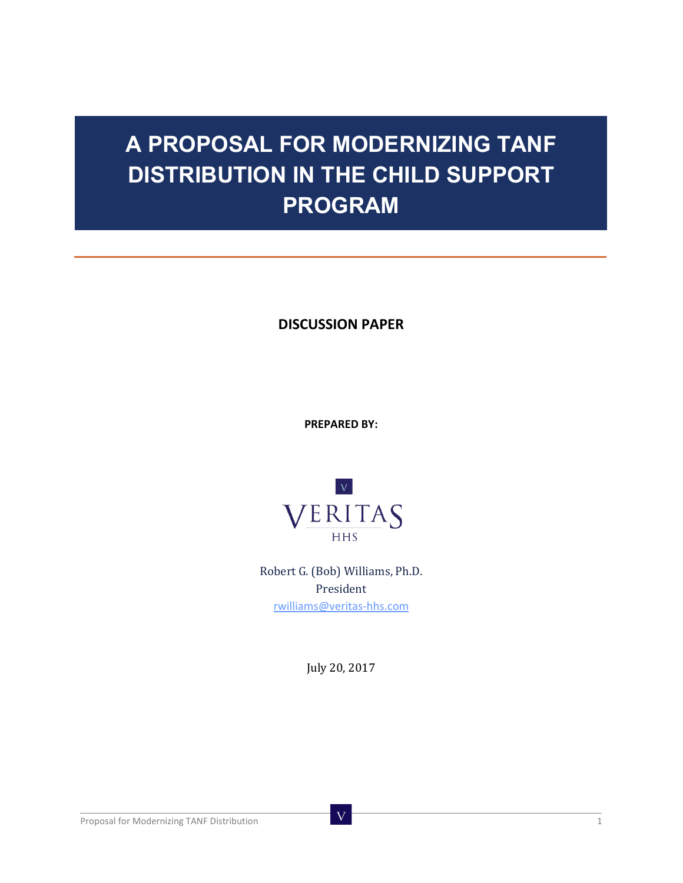# **A PROPOSAL FOR MODERNIZING TANF DISTRIBUTION IN THE CHILD SUPPORT PROGRAM**

**DISCUSSION PAPER**

**PREPARED BY:**



Robert G. (Bob) Williams, Ph.D. President [rwilliams@veritas-hhs.com](mailto:rwilliams@veritas-hhs.com)

July 20, 2017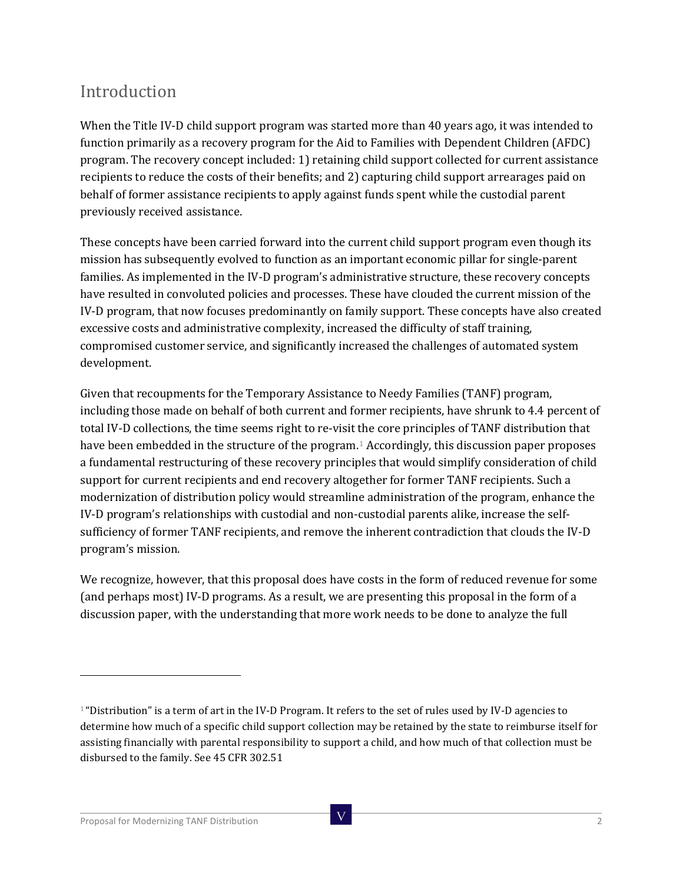### Introduction

When the Title IV-D child support program was started more than 40 years ago, it was intended to function primarily as a recovery program for the Aid to Families with Dependent Children (AFDC) program. The recovery concept included: 1) retaining child support collected for current assistance recipients to reduce the costs of their benefits; and 2) capturing child support arrearages paid on behalf of former assistance recipients to apply against funds spent while the custodial parent previously received assistance.

These concepts have been carried forward into the current child support program even though its mission has subsequently evolved to function as an important economic pillar for single-parent families. As implemented in the IV-D program's administrative structure, these recovery concepts have resulted in convoluted policies and processes. These have clouded the current mission of the IV-D program, that now focuses predominantly on family support. These concepts have also created excessive costs and administrative complexity, increased the difficulty of staff training, compromised customer service, and significantly increased the challenges of automated system development.

Given that recoupments for the Temporary Assistance to Needy Families (TANF) program, including those made on behalf of both current and former recipients, have shrunk to 4.4 percent of total IV-D collections, the time seems right to re-visit the core principles of TANF distribution that have been embedded in the structure of the program.<sup>[1](#page-1-0)</sup> Accordingly, this discussion paper proposes a fundamental restructuring of these recovery principles that would simplify consideration of child support for current recipients and end recovery altogether for former TANF recipients. Such a modernization of distribution policy would streamline administration of the program, enhance the IV-D program's relationships with custodial and non-custodial parents alike, increase the selfsufficiency of former TANF recipients, and remove the inherent contradiction that clouds the IV-D program's mission.

We recognize, however, that this proposal does have costs in the form of reduced revenue for some (and perhaps most) IV-D programs. As a result, we are presenting this proposal in the form of a discussion paper, with the understanding that more work needs to be done to analyze the full

<span id="page-1-0"></span><sup>&</sup>lt;sup>1</sup> "Distribution" is a term of art in the IV-D Program. It refers to the set of rules used by IV-D agencies to determine how much of a specific child support collection may be retained by the state to reimburse itself for assisting financially with parental responsibility to support a child, and how much of that collection must be disbursed to the family. See 45 CFR 302.51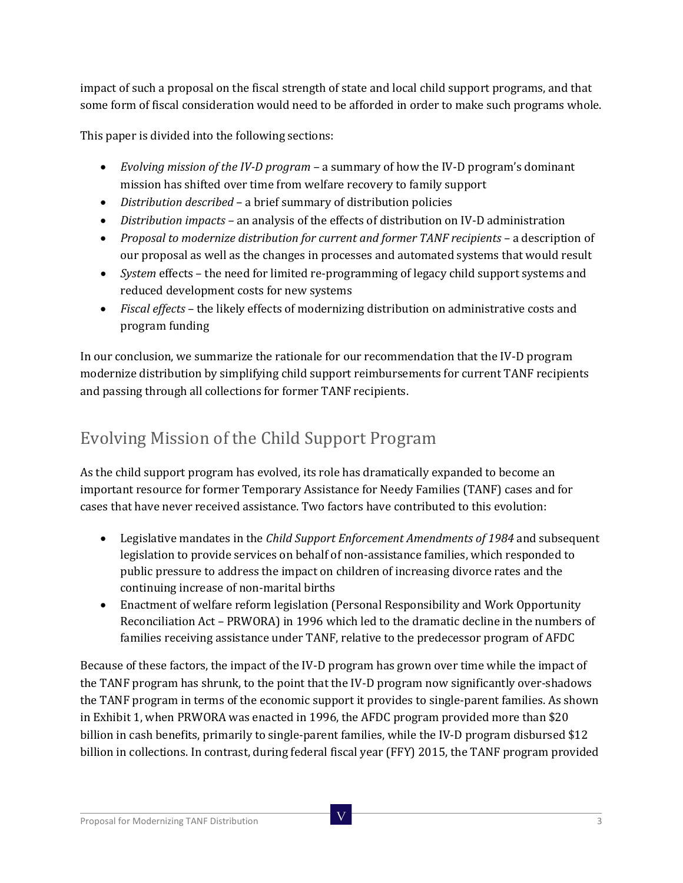impact of such a proposal on the fiscal strength of state and local child support programs, and that some form of fiscal consideration would need to be afforded in order to make such programs whole.

This paper is divided into the following sections:

- *Evolving mission of the IV-D program –* a summary of how the IV-D program's dominant mission has shifted over time from welfare recovery to family support
- *Distribution described*  a brief summary of distribution policies
- *Distribution impacts –* an analysis of the effects of distribution on IV-D administration
- *Proposal to modernize distribution for current and former TANF recipients a description of* our proposal as well as the changes in processes and automated systems that would result
- *System* effects the need for limited re-programming of legacy child support systems and reduced development costs for new systems
- *Fiscal effects*  the likely effects of modernizing distribution on administrative costs and program funding

In our conclusion, we summarize the rationale for our recommendation that the IV-D program modernize distribution by simplifying child support reimbursements for current TANF recipients and passing through all collections for former TANF recipients.

# Evolving Mission of the Child Support Program

As the child support program has evolved, its role has dramatically expanded to become an important resource for former Temporary Assistance for Needy Families (TANF) cases and for cases that have never received assistance. Two factors have contributed to this evolution:

- Legislative mandates in the *Child Support Enforcement Amendments of 1984* and subsequent legislation to provide services on behalf of non-assistance families, which responded to public pressure to address the impact on children of increasing divorce rates and the continuing increase of non-marital births
- Enactment of welfare reform legislation (Personal Responsibility and Work Opportunity Reconciliation Act – PRWORA) in 1996 which led to the dramatic decline in the numbers of families receiving assistance under TANF, relative to the predecessor program of AFDC

Because of these factors, the impact of the IV-D program has grown over time while the impact of the TANF program has shrunk, to the point that the IV-D program now significantly over-shadows the TANF program in terms of the economic support it provides to single-parent families. As shown in Exhibit 1, when PRWORA was enacted in 1996, the AFDC program provided more than \$20 billion in cash benefits, primarily to single-parent families, while the IV-D program disbursed \$12 billion in collections. In contrast, during federal fiscal year (FFY) 2015, the TANF program provided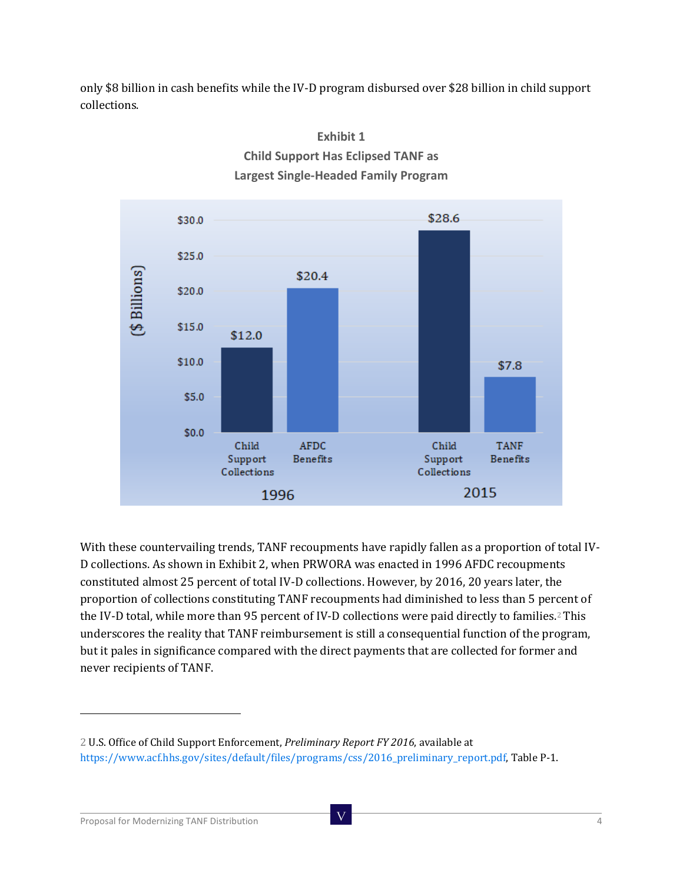only \$8 billion in cash benefits while the IV-D program disbursed over \$28 billion in child support collections.



#### **Exhibit 1 Child Support Has Eclipsed TANF as Largest Single-Headed Family Program**

With these countervailing trends, TANF recoupments have rapidly fallen as a proportion of total IV-D collections. As shown in Exhibit 2, when PRWORA was enacted in 1996 AFDC recoupments constituted almost 25 percent of total IV-D collections. However, by 2016, 20 years later, the proportion of collections constituting TANF recoupments had diminished to less than 5 percent of the IV-D total, while more than 95 percent of IV-D collections were paid directly to families.<sup>[2](#page-3-0)</sup> This underscores the reality that TANF reimbursement is still a consequential function of the program, but it pales in significance compared with the direct payments that are collected for former and never recipients of TANF.

<span id="page-3-0"></span><sup>2</sup> U.S. Office of Child Support Enforcement, *Preliminary Report FY 2016*, available at https://www.acf.hhs.gov/sites/default/files/programs/css/2016\_preliminary\_report.pdf, Table P-1.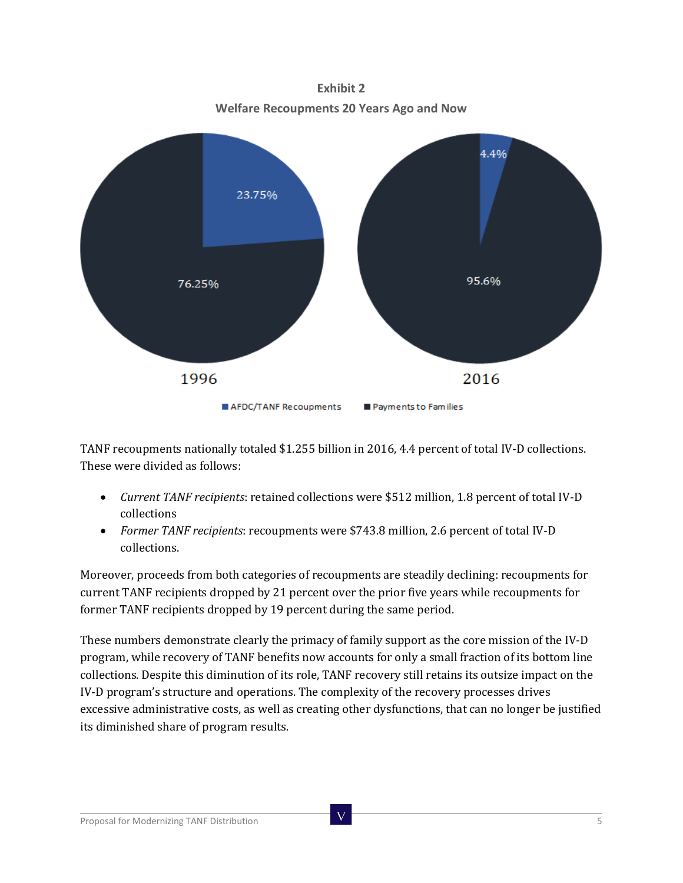**Welfare Recoupments 20 Years Ago and Now** 4.4% 23.75% 95.6% 76.25% 1996 2016 AFDC/TANF Recoupments Payments to Families

**Exhibit 2**

TANF recoupments nationally totaled \$1.255 billion in 2016, 4.4 percent of total IV-D collections. These were divided as follows:

- *Current TANF recipients*: retained collections were \$512 million, 1.8 percent of total IV-D collections
- *Former TANF recipients*: recoupments were \$743.8 million, 2.6 percent of total IV-D collections.

Moreover, proceeds from both categories of recoupments are steadily declining: recoupments for current TANF recipients dropped by 21 percent over the prior five years while recoupments for former TANF recipients dropped by 19 percent during the same period.

These numbers demonstrate clearly the primacy of family support as the core mission of the IV-D program, while recovery of TANF benefits now accounts for only a small fraction of its bottom line collections. Despite this diminution of its role, TANF recovery still retains its outsize impact on the IV-D program's structure and operations. The complexity of the recovery processes drives excessive administrative costs, as well as creating other dysfunctions, that can no longer be justified its diminished share of program results.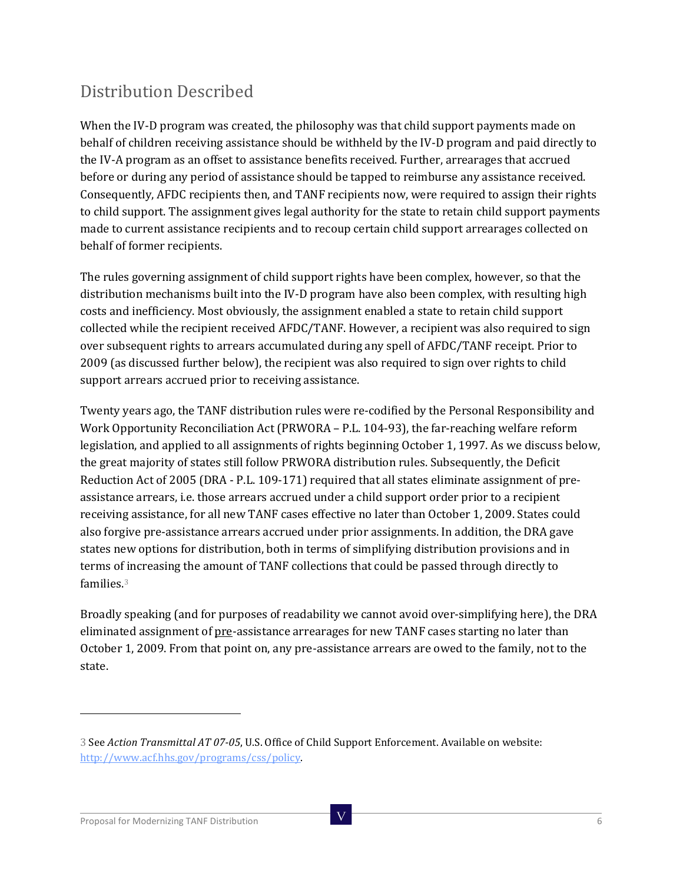# Distribution Described

When the IV-D program was created, the philosophy was that child support payments made on behalf of children receiving assistance should be withheld by the IV-D program and paid directly to the IV-A program as an offset to assistance benefits received. Further, arrearages that accrued before or during any period of assistance should be tapped to reimburse any assistance received. Consequently, AFDC recipients then, and TANF recipients now, were required to assign their rights to child support. The assignment gives legal authority for the state to retain child support payments made to current assistance recipients and to recoup certain child support arrearages collected on behalf of former recipients.

The rules governing assignment of child support rights have been complex, however, so that the distribution mechanisms built into the IV-D program have also been complex, with resulting high costs and inefficiency. Most obviously, the assignment enabled a state to retain child support collected while the recipient received AFDC/TANF. However, a recipient was also required to sign over subsequent rights to arrears accumulated during any spell of AFDC/TANF receipt. Prior to 2009 (as discussed further below), the recipient was also required to sign over rights to child support arrears accrued prior to receiving assistance.

Twenty years ago, the TANF distribution rules were re-codified by the Personal Responsibility and Work Opportunity Reconciliation Act (PRWORA – P.L. 104-93), the far-reaching welfare reform legislation, and applied to all assignments of rights beginning October 1, 1997. As we discuss below, the great majority of states still follow PRWORA distribution rules. Subsequently, the Deficit Reduction Act of 2005 (DRA - P.L. 109-171) required that all states eliminate assignment of preassistance arrears, i.e. those arrears accrued under a child support order prior to a recipient receiving assistance, for all new TANF cases effective no later than October 1, 2009. States could also forgive pre-assistance arrears accrued under prior assignments. In addition, the DRA gave states new options for distribution, both in terms of simplifying distribution provisions and in terms of increasing the amount of TANF collections that could be passed through directly to families.[3](#page-5-0)

Broadly speaking (and for purposes of readability we cannot avoid over-simplifying here), the DRA eliminated assignment of pre-assistance arrearages for new TANF cases starting no later than October 1, 2009. From that point on, any pre-assistance arrears are owed to the family, not to the state.

<span id="page-5-0"></span><sup>3</sup> See *Action Transmittal AT 07-05*, U.S. Office of Child Support Enforcement. Available on website: [http://www.acf.hhs.gov/programs/css/policy.](http://www.acf.hhs.gov/programs/css/policy)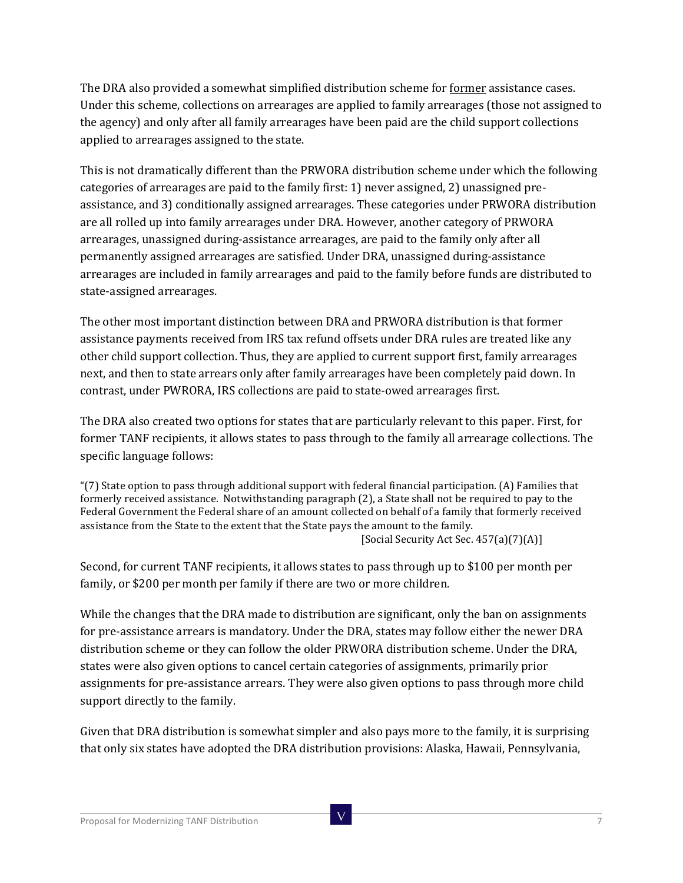The DRA also provided a somewhat simplified distribution scheme for former assistance cases. Under this scheme, collections on arrearages are applied to family arrearages (those not assigned to the agency) and only after all family arrearages have been paid are the child support collections applied to arrearages assigned to the state.

This is not dramatically different than the PRWORA distribution scheme under which the following categories of arrearages are paid to the family first: 1) never assigned, 2) unassigned preassistance, and 3) conditionally assigned arrearages. These categories under PRWORA distribution are all rolled up into family arrearages under DRA. However, another category of PRWORA arrearages, unassigned during-assistance arrearages, are paid to the family only after all permanently assigned arrearages are satisfied. Under DRA, unassigned during-assistance arrearages are included in family arrearages and paid to the family before funds are distributed to state-assigned arrearages.

The other most important distinction between DRA and PRWORA distribution is that former assistance payments received from IRS tax refund offsets under DRA rules are treated like any other child support collection. Thus, they are applied to current support first, family arrearages next, and then to state arrears only after family arrearages have been completely paid down. In contrast, under PWRORA, IRS collections are paid to state-owed arrearages first.

The DRA also created two options for states that are particularly relevant to this paper. First, for former TANF recipients, it allows states to pass through to the family all arrearage collections. The specific language follows:

"(7) State option to pass through additional support with federal financial participation. (A) Families that formerly received assistance. Notwithstanding paragraph (2), a State shall not be required to pay to the Federal Government the Federal share of an amount collected on behalf of a family that formerly received assistance from the State to the extent that the State pays the amount to the family. [Social Security Act Sec. 457(a)(7)(A)]

Second, for current TANF recipients, it allows states to pass through up to \$100 per month per family, or \$200 per month per family if there are two or more children.

While the changes that the DRA made to distribution are significant, only the ban on assignments for pre-assistance arrears is mandatory. Under the DRA, states may follow either the newer DRA distribution scheme or they can follow the older PRWORA distribution scheme. Under the DRA, states were also given options to cancel certain categories of assignments, primarily prior assignments for pre-assistance arrears. They were also given options to pass through more child support directly to the family.

Given that DRA distribution is somewhat simpler and also pays more to the family, it is surprising that only six states have adopted the DRA distribution provisions: Alaska, Hawaii, Pennsylvania,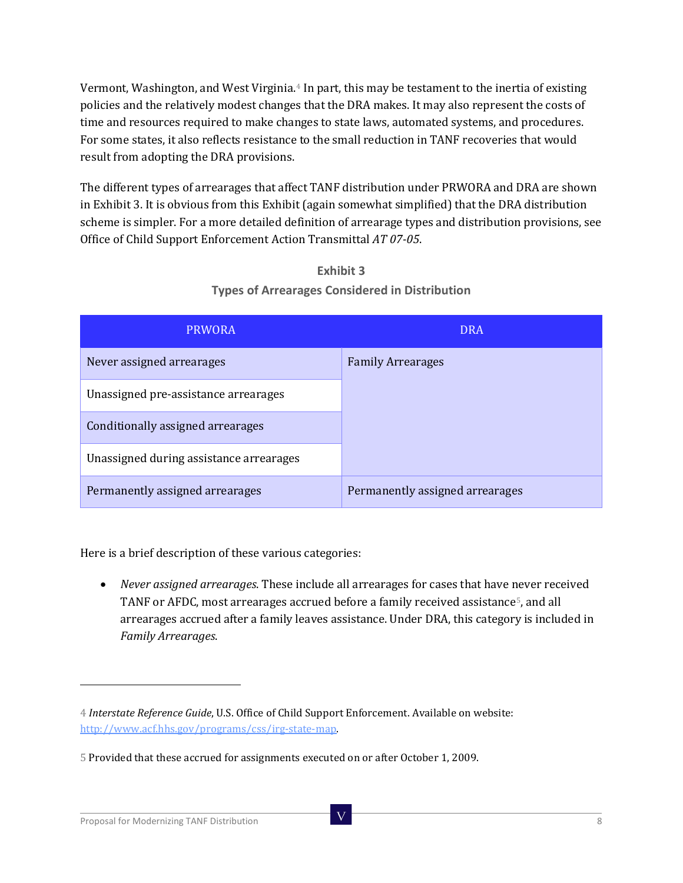Vermont, Washington, and West Virginia.<sup>[4](#page-7-0)</sup> In part, this may be testament to the inertia of existing policies and the relatively modest changes that the DRA makes. It may also represent the costs of time and resources required to make changes to state laws, automated systems, and procedures. For some states, it also reflects resistance to the small reduction in TANF recoveries that would result from adopting the DRA provisions.

The different types of arrearages that affect TANF distribution under PRWORA and DRA are shown in Exhibit 3. It is obvious from this Exhibit (again somewhat simplified) that the DRA distribution scheme is simpler. For a more detailed definition of arrearage types and distribution provisions, see Office of Child Support Enforcement Action Transmittal *AT 07-05*.

| <b>PRWORA</b>                           | <b>DRA</b>                      |
|-----------------------------------------|---------------------------------|
| Never assigned arrearages               | <b>Family Arrearages</b>        |
| Unassigned pre-assistance arrearages    |                                 |
| Conditionally assigned arrearages       |                                 |
| Unassigned during assistance arrearages |                                 |
| Permanently assigned arrearages         | Permanently assigned arrearages |

#### **Exhibit 3 Types of Arrearages Considered in Distribution**

Here is a brief description of these various categories:

• *Never assigned arrearages*. These include all arrearages for cases that have never received TANF or AFDC, most arrearages accrued before a family received assistance<sup>[5](#page-7-1)</sup>, and all arrearages accrued after a family leaves assistance. Under DRA, this category is included in *Family Arrearages*.

<span id="page-7-0"></span><sup>4</sup> *Interstate Reference Guide*, U.S. Office of Child Support Enforcement. Available on website: [http://www.acf.hhs.gov/programs/css/irg-state-map.](http://www.acf.hhs.gov/programs/css/irg-state-map) 

<span id="page-7-1"></span><sup>5</sup> Provided that these accrued for assignments executed on or after October 1, 2009.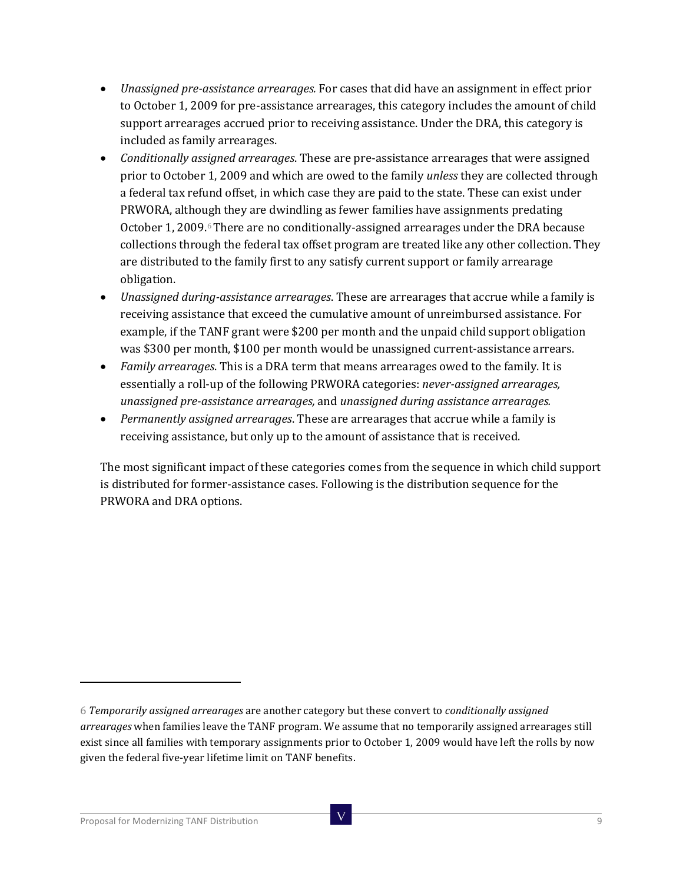- *Unassigned pre-assistance arrearages.* For cases that did have an assignment in effect prior to October 1, 2009 for pre-assistance arrearages, this category includes the amount of child support arrearages accrued prior to receiving assistance. Under the DRA, this category is included as family arrearages.
- *Conditionally assigned arrearages*. These are pre-assistance arrearages that were assigned prior to October 1, 2009 and which are owed to the family *unless* they are collected through a federal tax refund offset, in which case they are paid to the state. These can exist under PRWORA, although they are dwindling as fewer families have assignments predating October 1, 2009. $6$  There are no conditionally-assigned arrearages under the DRA because collections through the federal tax offset program are treated like any other collection. They are distributed to the family first to any satisfy current support or family arrearage obligation.
- *Unassigned during-assistance arrearages*. These are arrearages that accrue while a family is receiving assistance that exceed the cumulative amount of unreimbursed assistance. For example, if the TANF grant were \$200 per month and the unpaid child support obligation was \$300 per month, \$100 per month would be unassigned current-assistance arrears.
- *Family arrearages*. This is a DRA term that means arrearages owed to the family. It is essentially a roll-up of the following PRWORA categories: *never-assigned arrearages, unassigned pre-assistance arrearages,* and *unassigned during assistance arrearages.*
- *Permanently assigned arrearages*. These are arrearages that accrue while a family is receiving assistance, but only up to the amount of assistance that is received.

The most significant impact of these categories comes from the sequence in which child support is distributed for former-assistance cases. Following is the distribution sequence for the PRWORA and DRA options.

<span id="page-8-0"></span><sup>6</sup> *Temporarily assigned arrearages* are another category but these convert to *conditionally assigned arrearages* when families leave the TANF program. We assume that no temporarily assigned arrearages still exist since all families with temporary assignments prior to October 1, 2009 would have left the rolls by now given the federal five-year lifetime limit on TANF benefits.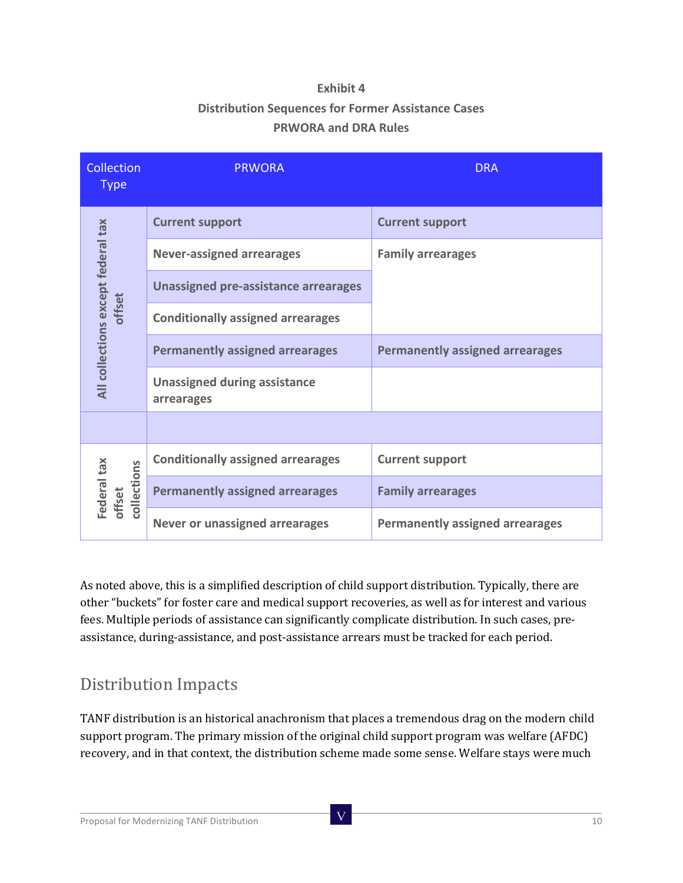#### **Exhibit 4**

#### **Distribution Sequences for Former Assistance Cases PRWORA and DRA Rules**

| Collection<br><b>Type</b>                    | <b>PRWORA</b>                                     | <b>DRA</b>                             |
|----------------------------------------------|---------------------------------------------------|----------------------------------------|
| All collections except federal tax<br>offset | <b>Current support</b>                            | <b>Current support</b>                 |
|                                              | <b>Never-assigned arrearages</b>                  | <b>Family arrearages</b>               |
|                                              | <b>Unassigned pre-assistance arrearages</b>       |                                        |
|                                              | <b>Conditionally assigned arrearages</b>          |                                        |
|                                              | <b>Permanently assigned arrearages</b>            | <b>Permanently assigned arrearages</b> |
|                                              | <b>Unassigned during assistance</b><br>arrearages |                                        |
|                                              |                                                   |                                        |
| Federal tax<br>collections<br>offset         | <b>Conditionally assigned arrearages</b>          | <b>Current support</b>                 |
|                                              | <b>Permanently assigned arrearages</b>            | <b>Family arrearages</b>               |
|                                              | <b>Never or unassigned arrearages</b>             | <b>Permanently assigned arrearages</b> |

As noted above, this is a simplified description of child support distribution. Typically, there are other "buckets" for foster care and medical support recoveries, as well as for interest and various fees. Multiple periods of assistance can significantly complicate distribution. In such cases, preassistance, during-assistance, and post-assistance arrears must be tracked for each period.

### Distribution Impacts

TANF distribution is an historical anachronism that places a tremendous drag on the modern child support program. The primary mission of the original child support program was welfare (AFDC) recovery, and in that context, the distribution scheme made some sense. Welfare stays were much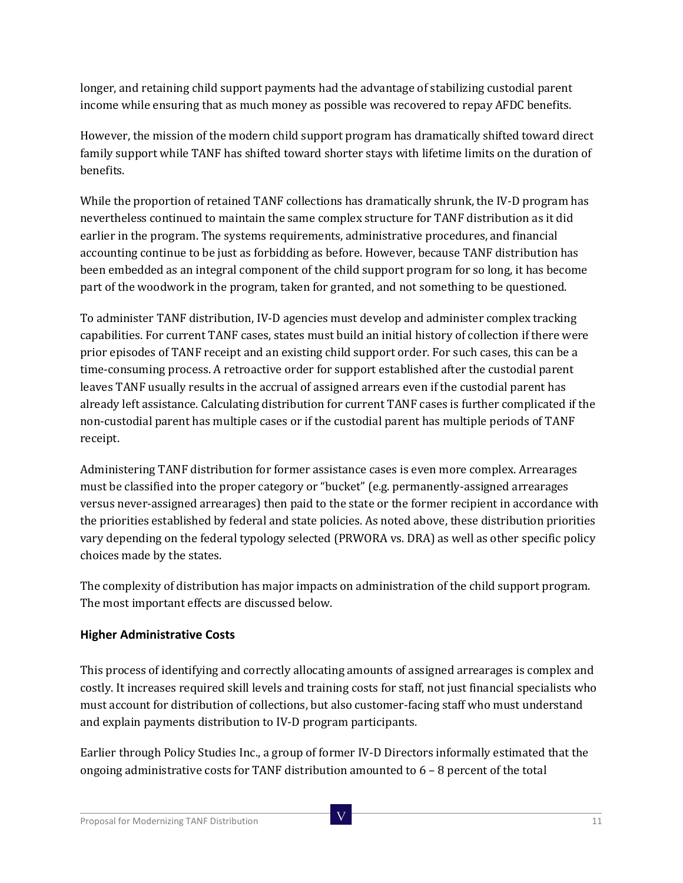longer, and retaining child support payments had the advantage of stabilizing custodial parent income while ensuring that as much money as possible was recovered to repay AFDC benefits.

However, the mission of the modern child support program has dramatically shifted toward direct family support while TANF has shifted toward shorter stays with lifetime limits on the duration of benefits.

While the proportion of retained TANF collections has dramatically shrunk, the IV-D program has nevertheless continued to maintain the same complex structure for TANF distribution as it did earlier in the program. The systems requirements, administrative procedures, and financial accounting continue to be just as forbidding as before. However, because TANF distribution has been embedded as an integral component of the child support program for so long, it has become part of the woodwork in the program, taken for granted, and not something to be questioned.

To administer TANF distribution, IV-D agencies must develop and administer complex tracking capabilities. For current TANF cases, states must build an initial history of collection if there were prior episodes of TANF receipt and an existing child support order. For such cases, this can be a time-consuming process. A retroactive order for support established after the custodial parent leaves TANF usually results in the accrual of assigned arrears even if the custodial parent has already left assistance. Calculating distribution for current TANF cases is further complicated if the non-custodial parent has multiple cases or if the custodial parent has multiple periods of TANF receipt.

Administering TANF distribution for former assistance cases is even more complex. Arrearages must be classified into the proper category or "bucket" (e.g. permanently-assigned arrearages versus never-assigned arrearages) then paid to the state or the former recipient in accordance with the priorities established by federal and state policies. As noted above, these distribution priorities vary depending on the federal typology selected (PRWORA vs. DRA) as well as other specific policy choices made by the states.

The complexity of distribution has major impacts on administration of the child support program. The most important effects are discussed below.

#### **Higher Administrative Costs**

This process of identifying and correctly allocating amounts of assigned arrearages is complex and costly. It increases required skill levels and training costs for staff, not just financial specialists who must account for distribution of collections, but also customer-facing staff who must understand and explain payments distribution to IV-D program participants.

Earlier through Policy Studies Inc., a group of former IV-D Directors informally estimated that the ongoing administrative costs for TANF distribution amounted to  $6 - 8$  percent of the total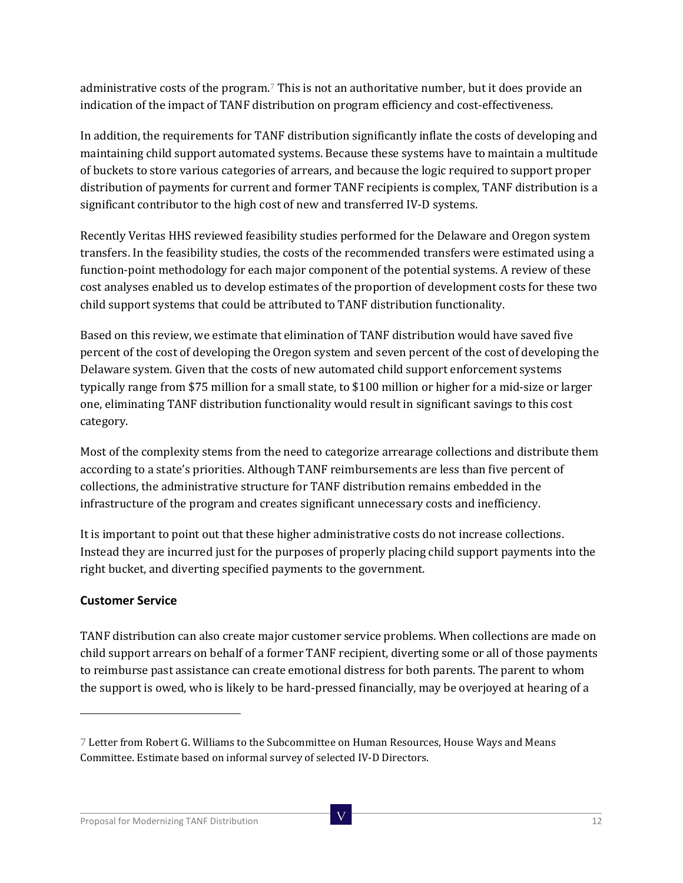administrative costs of the program.[7](#page-11-0) This is not an authoritative number, but it does provide an indication of the impact of TANF distribution on program efficiency and cost-effectiveness.

In addition, the requirements for TANF distribution significantly inflate the costs of developing and maintaining child support automated systems. Because these systems have to maintain a multitude of buckets to store various categories of arrears, and because the logic required to support proper distribution of payments for current and former TANF recipients is complex, TANF distribution is a significant contributor to the high cost of new and transferred IV-D systems.

Recently Veritas HHS reviewed feasibility studies performed for the Delaware and Oregon system transfers. In the feasibility studies, the costs of the recommended transfers were estimated using a function-point methodology for each major component of the potential systems. A review of these cost analyses enabled us to develop estimates of the proportion of development costs for these two child support systems that could be attributed to TANF distribution functionality.

Based on this review, we estimate that elimination of TANF distribution would have saved five percent of the cost of developing the Oregon system and seven percent of the cost of developing the Delaware system. Given that the costs of new automated child support enforcement systems typically range from \$75 million for a small state, to \$100 million or higher for a mid-size or larger one, eliminating TANF distribution functionality would result in significant savings to this cost category.

Most of the complexity stems from the need to categorize arrearage collections and distribute them according to a state's priorities. Although TANF reimbursements are less than five percent of collections, the administrative structure for TANF distribution remains embedded in the infrastructure of the program and creates significant unnecessary costs and inefficiency.

It is important to point out that these higher administrative costs do not increase collections. Instead they are incurred just for the purposes of properly placing child support payments into the right bucket, and diverting specified payments to the government.

#### **Customer Service**

j

TANF distribution can also create major customer service problems. When collections are made on child support arrears on behalf of a former TANF recipient, diverting some or all of those payments to reimburse past assistance can create emotional distress for both parents. The parent to whom the support is owed, who is likely to be hard-pressed financially, may be overjoyed at hearing of a

<span id="page-11-0"></span><sup>7</sup> Letter from Robert G. Williams to the Subcommittee on Human Resources, House Ways and Means Committee. Estimate based on informal survey of selected IV-D Directors.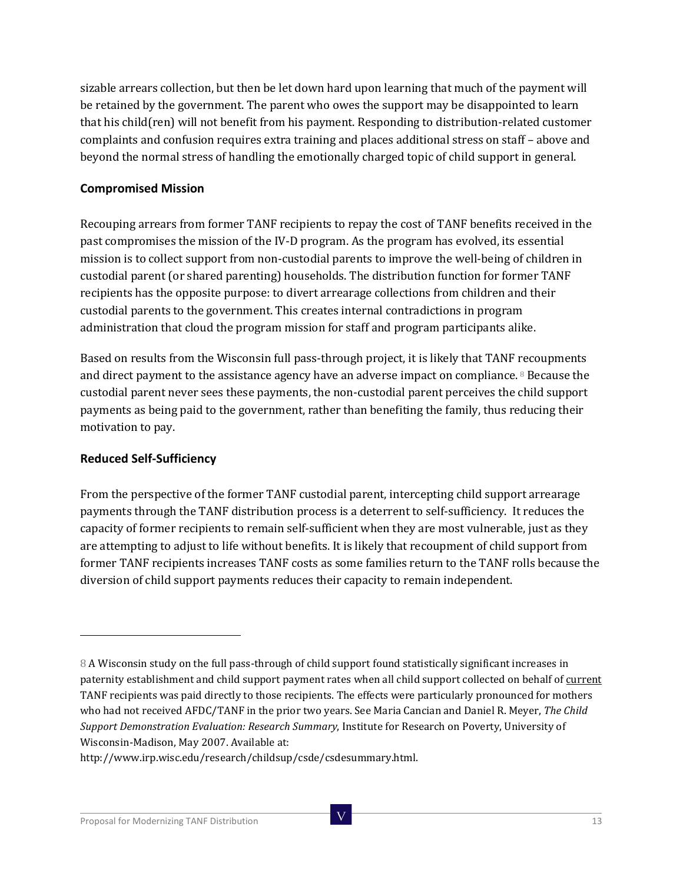sizable arrears collection, but then be let down hard upon learning that much of the payment will be retained by the government. The parent who owes the support may be disappointed to learn that his child(ren) will not benefit from his payment. Responding to distribution-related customer complaints and confusion requires extra training and places additional stress on staff – above and beyond the normal stress of handling the emotionally charged topic of child support in general.

#### **Compromised Mission**

Recouping arrears from former TANF recipients to repay the cost of TANF benefits received in the past compromises the mission of the IV-D program. As the program has evolved, its essential mission is to collect support from non-custodial parents to improve the well-being of children in custodial parent (or shared parenting) households. The distribution function for former TANF recipients has the opposite purpose: to divert arrearage collections from children and their custodial parents to the government. This creates internal contradictions in program administration that cloud the program mission for staff and program participants alike.

Based on results from the Wisconsin full pass-through project, it is likely that TANF recoupments and direct payment to the assistance agency have an adverse impact on compliance. [8](#page-12-0) Because the custodial parent never sees these payments, the non-custodial parent perceives the child support payments as being paid to the government, rather than benefiting the family, thus reducing their motivation to pay.

#### **Reduced Self-Sufficiency**

j

From the perspective of the former TANF custodial parent, intercepting child support arrearage payments through the TANF distribution process is a deterrent to self-sufficiency. It reduces the capacity of former recipients to remain self-sufficient when they are most vulnerable, just as they are attempting to adjust to life without benefits. It is likely that recoupment of child support from former TANF recipients increases TANF costs as some families return to the TANF rolls because the diversion of child support payments reduces their capacity to remain independent.

<span id="page-12-0"></span><sup>8</sup> A Wisconsin study on the full pass-through of child support found statistically significant increases in paternity establishment and child support payment rates when all child support collected on behalf of current TANF recipients was paid directly to those recipients. The effects were particularly pronounced for mothers who had not received AFDC/TANF in the prior two years. See Maria Cancian and Daniel R. Meyer, *The Child Support Demonstration Evaluation: Research Summary*, Institute for Research on Poverty, University of Wisconsin-Madison, May 2007. Available at:

http://www.irp.wisc.edu/research/childsup/csde/csdesummary.html.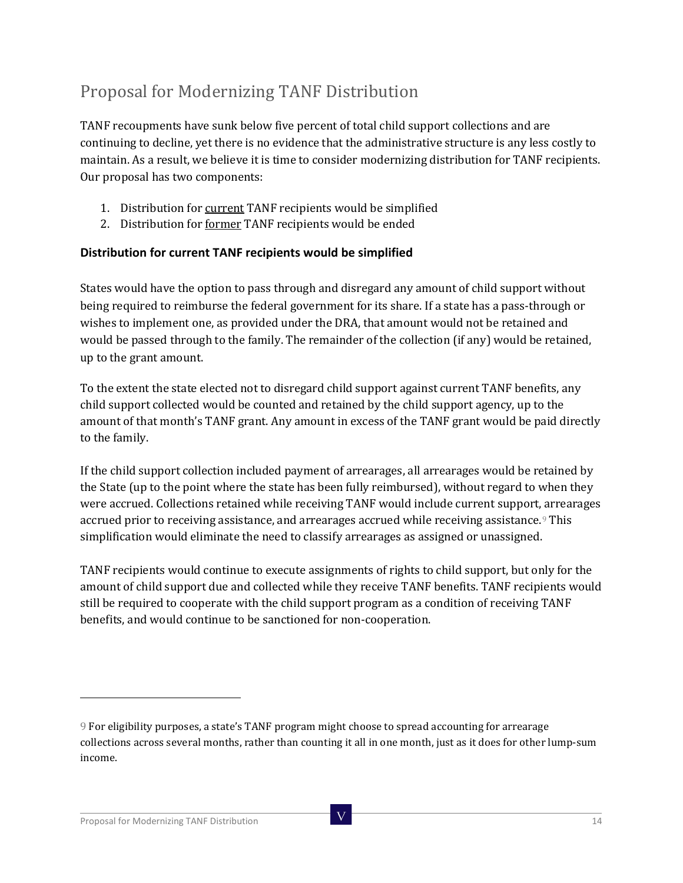# Proposal for Modernizing TANF Distribution

TANF recoupments have sunk below five percent of total child support collections and are continuing to decline, yet there is no evidence that the administrative structure is any less costly to maintain. As a result, we believe it is time to consider modernizing distribution for TANF recipients. Our proposal has two components:

- 1. Distribution for current TANF recipients would be simplified
- 2. Distribution for former TANF recipients would be ended

#### **Distribution for current TANF recipients would be simplified**

States would have the option to pass through and disregard any amount of child support without being required to reimburse the federal government for its share. If a state has a pass-through or wishes to implement one, as provided under the DRA, that amount would not be retained and would be passed through to the family. The remainder of the collection (if any) would be retained, up to the grant amount.

To the extent the state elected not to disregard child support against current TANF benefits, any child support collected would be counted and retained by the child support agency, up to the amount of that month's TANF grant. Any amount in excess of the TANF grant would be paid directly to the family.

If the child support collection included payment of arrearages, all arrearages would be retained by the State (up to the point where the state has been fully reimbursed), without regard to when they were accrued. Collections retained while receiving TANF would include current support, arrearages accrued prior to receiving assistance, and arrearages accrued while receiving assistance.<sup>[9](#page-13-0)</sup> This simplification would eliminate the need to classify arrearages as assigned or unassigned.

TANF recipients would continue to execute assignments of rights to child support, but only for the amount of child support due and collected while they receive TANF benefits. TANF recipients would still be required to cooperate with the child support program as a condition of receiving TANF benefits, and would continue to be sanctioned for non-cooperation.

<span id="page-13-0"></span><sup>9</sup> For eligibility purposes, a state's TANF program might choose to spread accounting for arrearage collections across several months, rather than counting it all in one month, just as it does for other lump-sum income.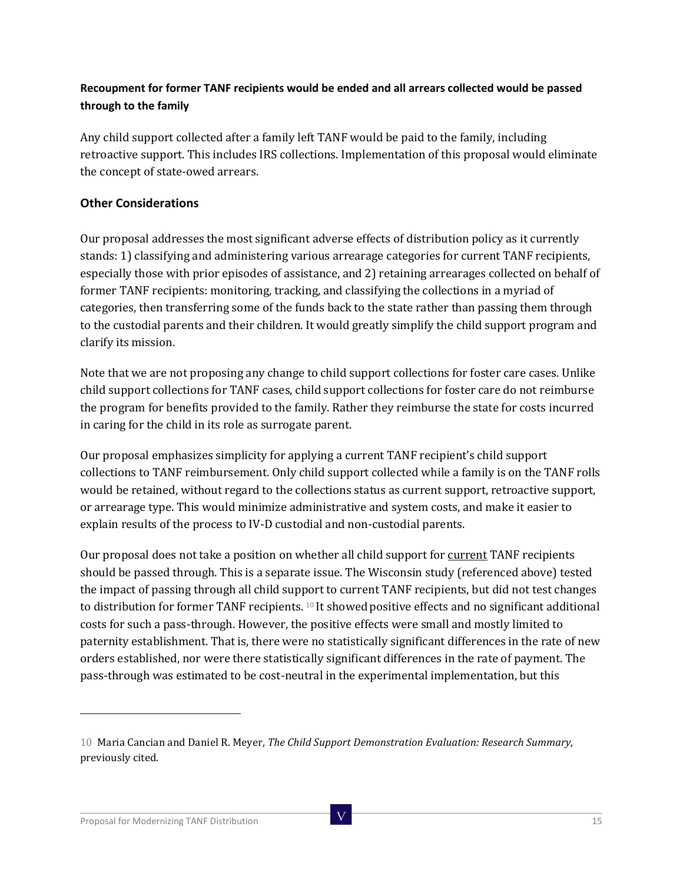#### **Recoupment for former TANF recipients would be ended and all arrears collected would be passed through to the family**

Any child support collected after a family left TANF would be paid to the family, including retroactive support. This includes IRS collections. Implementation of this proposal would eliminate the concept of state-owed arrears.

#### **Other Considerations**

Our proposal addresses the most significant adverse effects of distribution policy as it currently stands: 1) classifying and administering various arrearage categories for current TANF recipients, especially those with prior episodes of assistance, and 2) retaining arrearages collected on behalf of former TANF recipients: monitoring, tracking, and classifying the collections in a myriad of categories, then transferring some of the funds back to the state rather than passing them through to the custodial parents and their children. It would greatly simplify the child support program and clarify its mission.

Note that we are not proposing any change to child support collections for foster care cases. Unlike child support collections for TANF cases, child support collections for foster care do not reimburse the program for benefits provided to the family. Rather they reimburse the state for costs incurred in caring for the child in its role as surrogate parent.

Our proposal emphasizes simplicity for applying a current TANF recipient's child support collections to TANF reimbursement. Only child support collected while a family is on the TANF rolls would be retained, without regard to the collections status as current support, retroactive support, or arrearage type. This would minimize administrative and system costs, and make it easier to explain results of the process to IV-D custodial and non-custodial parents.

Our proposal does not take a position on whether all child support for current TANF recipients should be passed through. This is a separate issue. The Wisconsin study (referenced above) tested the impact of passing through all child support to current TANF recipients, but did not test changes to distribution for former TANF recipients. <sup>[10](#page-14-0)</sup> It showed positive effects and no significant additional costs for such a pass-through. However, the positive effects were small and mostly limited to paternity establishment. That is, there were no statistically significant differences in the rate of new orders established, nor were there statistically significant differences in the rate of payment. The pass-through was estimated to be cost-neutral in the experimental implementation, but this

<span id="page-14-0"></span><sup>10</sup> Maria Cancian and Daniel R. Meyer, *The Child Support Demonstration Evaluation: Research Summary*, previously cited.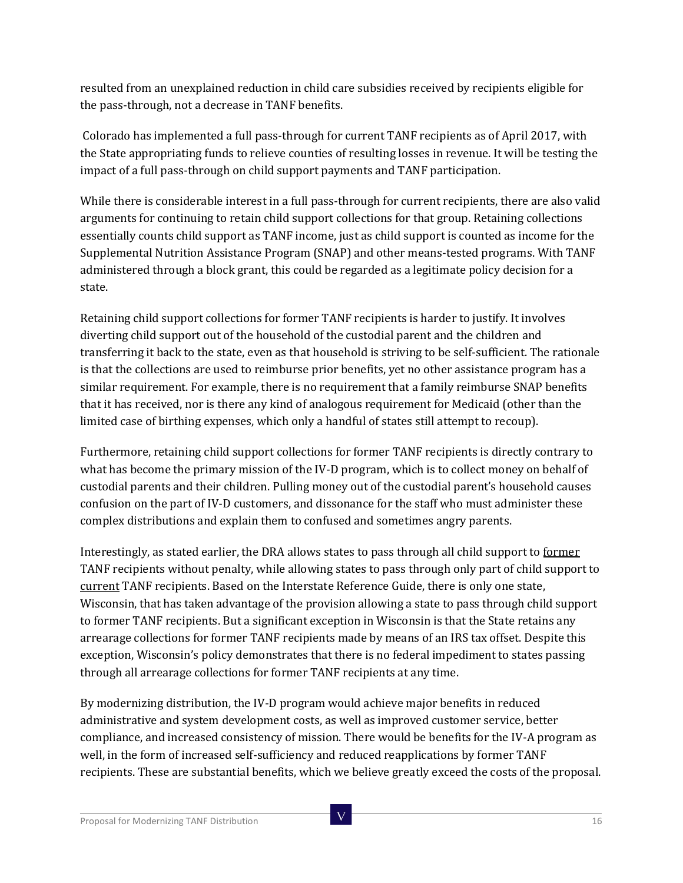resulted from an unexplained reduction in child care subsidies received by recipients eligible for the pass-through, not a decrease in TANF benefits.

Colorado has implemented a full pass-through for current TANF recipients as of April 2017, with the State appropriating funds to relieve counties of resulting losses in revenue. It will be testing the impact of a full pass-through on child support payments and TANF participation.

While there is considerable interest in a full pass-through for current recipients, there are also valid arguments for continuing to retain child support collections for that group. Retaining collections essentially counts child support as TANF income, just as child support is counted as income for the Supplemental Nutrition Assistance Program (SNAP) and other means-tested programs. With TANF administered through a block grant, this could be regarded as a legitimate policy decision for a state.

Retaining child support collections for former TANF recipients is harder to justify. It involves diverting child support out of the household of the custodial parent and the children and transferring it back to the state, even as that household is striving to be self-sufficient. The rationale is that the collections are used to reimburse prior benefits, yet no other assistance program has a similar requirement. For example, there is no requirement that a family reimburse SNAP benefits that it has received, nor is there any kind of analogous requirement for Medicaid (other than the limited case of birthing expenses, which only a handful of states still attempt to recoup).

Furthermore, retaining child support collections for former TANF recipients is directly contrary to what has become the primary mission of the IV-D program, which is to collect money on behalf of custodial parents and their children. Pulling money out of the custodial parent's household causes confusion on the part of IV-D customers, and dissonance for the staff who must administer these complex distributions and explain them to confused and sometimes angry parents.

Interestingly, as stated earlier, the DRA allows states to pass through all child support to former TANF recipients without penalty, while allowing states to pass through only part of child support to current TANF recipients. Based on the Interstate Reference Guide, there is only one state, Wisconsin, that has taken advantage of the provision allowing a state to pass through child support to former TANF recipients. But a significant exception in Wisconsin is that the State retains any arrearage collections for former TANF recipients made by means of an IRS tax offset. Despite this exception, Wisconsin's policy demonstrates that there is no federal impediment to states passing through all arrearage collections for former TANF recipients at any time.

By modernizing distribution, the IV-D program would achieve major benefits in reduced administrative and system development costs, as well as improved customer service, better compliance, and increased consistency of mission. There would be benefits for the IV-A program as well, in the form of increased self-sufficiency and reduced reapplications by former TANF recipients. These are substantial benefits, which we believe greatly exceed the costs of the proposal.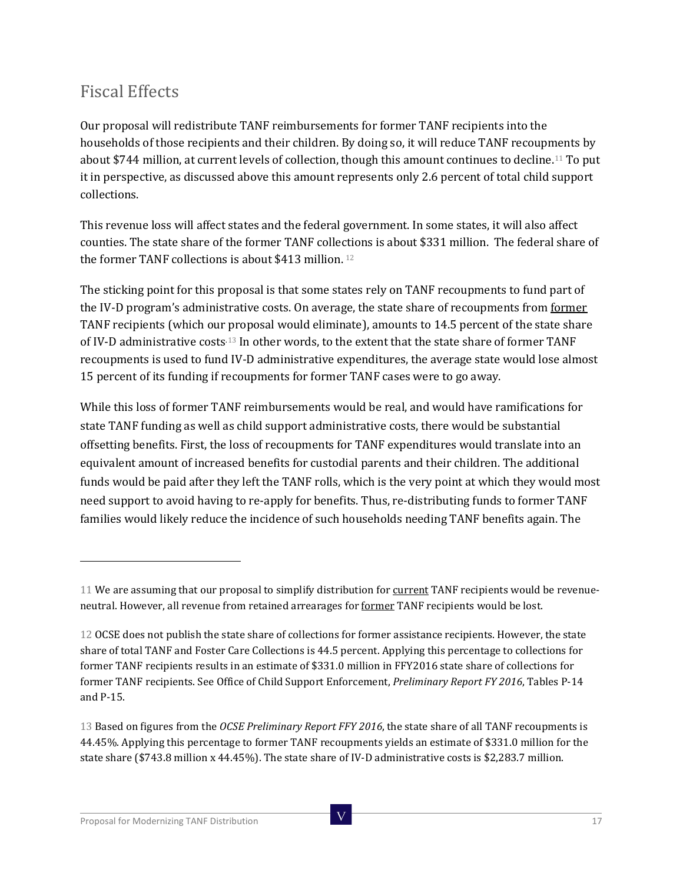### Fiscal Effects

Our proposal will redistribute TANF reimbursements for former TANF recipients into the households of those recipients and their children. By doing so, it will reduce TANF recoupments by about \$744 million, at current levels of collection, though this amount continues to decline[.11](#page-16-0) To put it in perspective, as discussed above this amount represents only 2.6 percent of total child support collections.

This revenue loss will affect states and the federal government. In some states, it will also affect counties. The state share of the former TANF collections is about \$331 million. The federal share of the former TANF collections is about \$413 million. [12](#page-16-1)

The sticking point for this proposal is that some states rely on TANF recoupments to fund part of the IV-D program's administrative costs. On average, the state share of recoupments from former TANF recipients (which our proposal would eliminate), amounts to 14.5 percent of the state share of IV-D administrative costs.[13](#page-16-2) In other words, to the extent that the state share of former TANF recoupments is used to fund IV-D administrative expenditures, the average state would lose almost 15 percent of its funding if recoupments for former TANF cases were to go away.

While this loss of former TANF reimbursements would be real, and would have ramifications for state TANF funding as well as child support administrative costs, there would be substantial offsetting benefits. First, the loss of recoupments for TANF expenditures would translate into an equivalent amount of increased benefits for custodial parents and their children. The additional funds would be paid after they left the TANF rolls, which is the very point at which they would most need support to avoid having to re-apply for benefits. Thus, re-distributing funds to former TANF families would likely reduce the incidence of such households needing TANF benefits again. The

<span id="page-16-0"></span><sup>11</sup> We are assuming that our proposal to simplify distribution for current TANF recipients would be revenueneutral. However, all revenue from retained arrearages for former TANF recipients would be lost.

<span id="page-16-1"></span><sup>12</sup> OCSE does not publish the state share of collections for former assistance recipients. However, the state share of total TANF and Foster Care Collections is 44.5 percent. Applying this percentage to collections for former TANF recipients results in an estimate of \$331.0 million in FFY2016 state share of collections for former TANF recipients. See Office of Child Support Enforcement, *Preliminary Report FY 2016*, Tables P-14 and P-15.

<span id="page-16-2"></span><sup>13</sup> Based on figures from the *OCSE Preliminary Report FFY 2016*, the state share of all TANF recoupments is 44.45%. Applying this percentage to former TANF recoupments yields an estimate of \$331.0 million for the state share (\$743.8 million x 44.45%). The state share of IV-D administrative costs is \$2,283.7 million.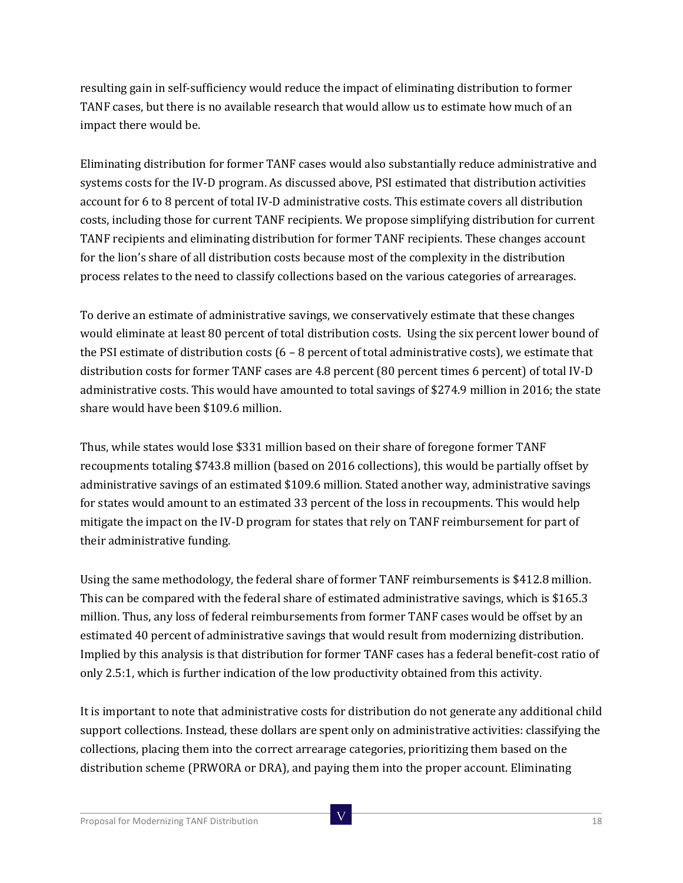resulting gain in self-sufficiency would reduce the impact of eliminating distribution to former TANF cases, but there is no available research that would allow us to estimate how much of an impact there would be.

Eliminating distribution for former TANF cases would also substantially reduce administrative and systems costs for the IV-D program. As discussed above, PSI estimated that distribution activities account for 6 to 8 percent of total IV-D administrative costs. This estimate covers all distribution costs, including those for current TANF recipients. We propose simplifying distribution for current TANF recipients and eliminating distribution for former TANF recipients. These changes account for the lion's share of all distribution costs because most of the complexity in the distribution process relates to the need to classify collections based on the various categories of arrearages.

To derive an estimate of administrative savings, we conservatively estimate that these changes would eliminate at least 80 percent of total distribution costs. Using the six percent lower bound of the PSI estimate of distribution costs  $(6 - 8$  percent of total administrative costs), we estimate that distribution costs for former TANF cases are 4.8 percent (80 percent times 6 percent) of total IV-D administrative costs. This would have amounted to total savings of \$274.9 million in 2016; the state share would have been \$109.6 million.

Thus, while states would lose \$331 million based on their share of foregone former TANF recoupments totaling \$743.8 million (based on 2016 collections), this would be partially offset by administrative savings of an estimated \$109.6 million. Stated another way, administrative savings for states would amount to an estimated 33 percent of the loss in recoupments. This would help mitigate the impact on the IV-D program for states that rely on TANF reimbursement for part of their administrative funding.

Using the same methodology, the federal share of former TANF reimbursements is \$412.8 million. This can be compared with the federal share of estimated administrative savings, which is \$165.3 million. Thus, any loss of federal reimbursements from former TANF cases would be offset by an estimated 40 percent of administrative savings that would result from modernizing distribution. Implied by this analysis is that distribution for former TANF cases has a federal benefit-cost ratio of only 2.5:1, which is further indication of the low productivity obtained from this activity.

It is important to note that administrative costs for distribution do not generate any additional child support collections. Instead, these dollars are spent only on administrative activities: classifying the collections, placing them into the correct arrearage categories, prioritizing them based on the distribution scheme (PRWORA or DRA), and paying them into the proper account. Eliminating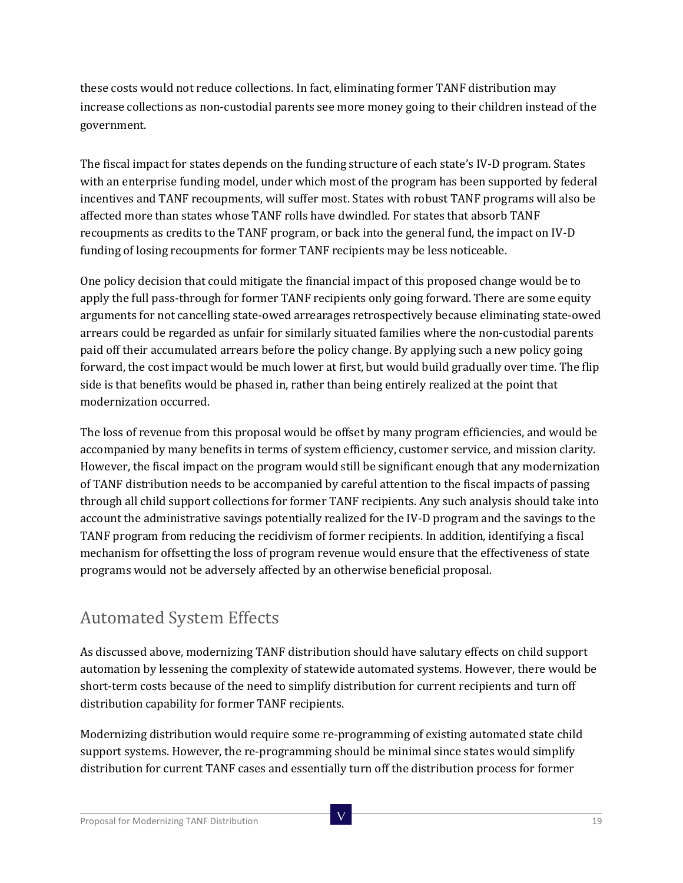these costs would not reduce collections. In fact, eliminating former TANF distribution may increase collections as non-custodial parents see more money going to their children instead of the government.

The fiscal impact for states depends on the funding structure of each state's IV-D program. States with an enterprise funding model, under which most of the program has been supported by federal incentives and TANF recoupments, will suffer most. States with robust TANF programs will also be affected more than states whose TANF rolls have dwindled. For states that absorb TANF recoupments as credits to the TANF program, or back into the general fund, the impact on IV-D funding of losing recoupments for former TANF recipients may be less noticeable.

One policy decision that could mitigate the financial impact of this proposed change would be to apply the full pass-through for former TANF recipients only going forward. There are some equity arguments for not cancelling state-owed arrearages retrospectively because eliminating state-owed arrears could be regarded as unfair for similarly situated families where the non-custodial parents paid off their accumulated arrears before the policy change. By applying such a new policy going forward, the cost impact would be much lower at first, but would build gradually over time. The flip side is that benefits would be phased in, rather than being entirely realized at the point that modernization occurred.

The loss of revenue from this proposal would be offset by many program efficiencies, and would be accompanied by many benefits in terms of system efficiency, customer service, and mission clarity. However, the fiscal impact on the program would still be significant enough that any modernization of TANF distribution needs to be accompanied by careful attention to the fiscal impacts of passing through all child support collections for former TANF recipients. Any such analysis should take into account the administrative savings potentially realized for the IV-D program and the savings to the TANF program from reducing the recidivism of former recipients. In addition, identifying a fiscal mechanism for offsetting the loss of program revenue would ensure that the effectiveness of state programs would not be adversely affected by an otherwise beneficial proposal.

# Automated System Effects

As discussed above, modernizing TANF distribution should have salutary effects on child support automation by lessening the complexity of statewide automated systems. However, there would be short-term costs because of the need to simplify distribution for current recipients and turn off distribution capability for former TANF recipients.

Modernizing distribution would require some re-programming of existing automated state child support systems. However, the re-programming should be minimal since states would simplify distribution for current TANF cases and essentially turn off the distribution process for former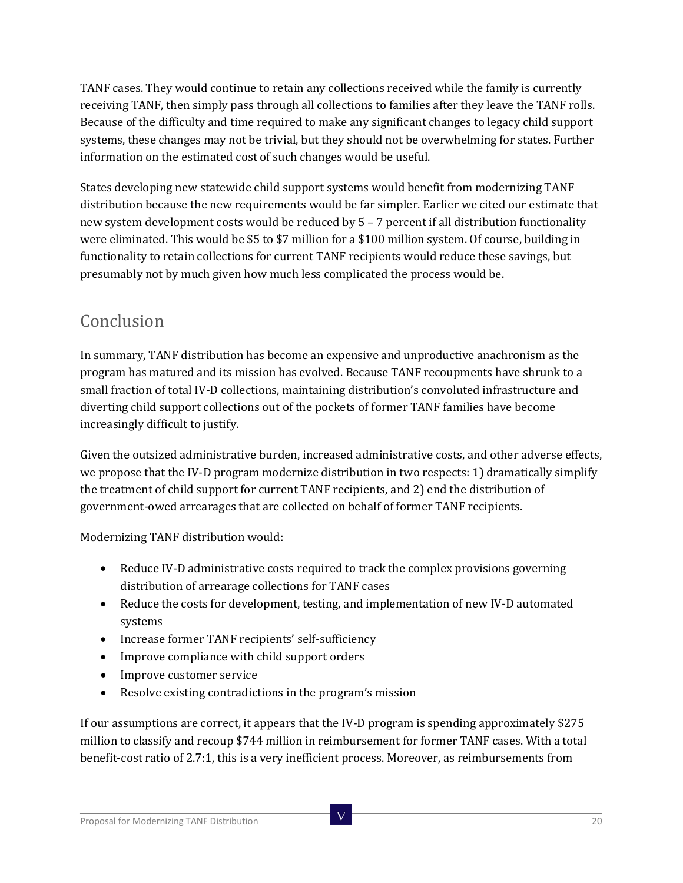TANF cases. They would continue to retain any collections received while the family is currently receiving TANF, then simply pass through all collections to families after they leave the TANF rolls. Because of the difficulty and time required to make any significant changes to legacy child support systems, these changes may not be trivial, but they should not be overwhelming for states. Further information on the estimated cost of such changes would be useful.

States developing new statewide child support systems would benefit from modernizing TANF distribution because the new requirements would be far simpler. Earlier we cited our estimate that new system development costs would be reduced by 5 – 7 percent if all distribution functionality were eliminated. This would be \$5 to \$7 million for a \$100 million system. Of course, building in functionality to retain collections for current TANF recipients would reduce these savings, but presumably not by much given how much less complicated the process would be.

### Conclusion

In summary, TANF distribution has become an expensive and unproductive anachronism as the program has matured and its mission has evolved. Because TANF recoupments have shrunk to a small fraction of total IV-D collections, maintaining distribution's convoluted infrastructure and diverting child support collections out of the pockets of former TANF families have become increasingly difficult to justify.

Given the outsized administrative burden, increased administrative costs, and other adverse effects, we propose that the IV-D program modernize distribution in two respects: 1) dramatically simplify the treatment of child support for current TANF recipients, and 2) end the distribution of government-owed arrearages that are collected on behalf of former TANF recipients.

Modernizing TANF distribution would:

- Reduce IV-D administrative costs required to track the complex provisions governing distribution of arrearage collections for TANF cases
- Reduce the costs for development, testing, and implementation of new IV-D automated systems
- Increase former TANF recipients' self-sufficiency
- Improve compliance with child support orders
- Improve customer service
- Resolve existing contradictions in the program's mission

If our assumptions are correct, it appears that the IV-D program is spending approximately \$275 million to classify and recoup \$744 million in reimbursement for former TANF cases. With a total benefit-cost ratio of 2.7:1, this is a very inefficient process. Moreover, as reimbursements from